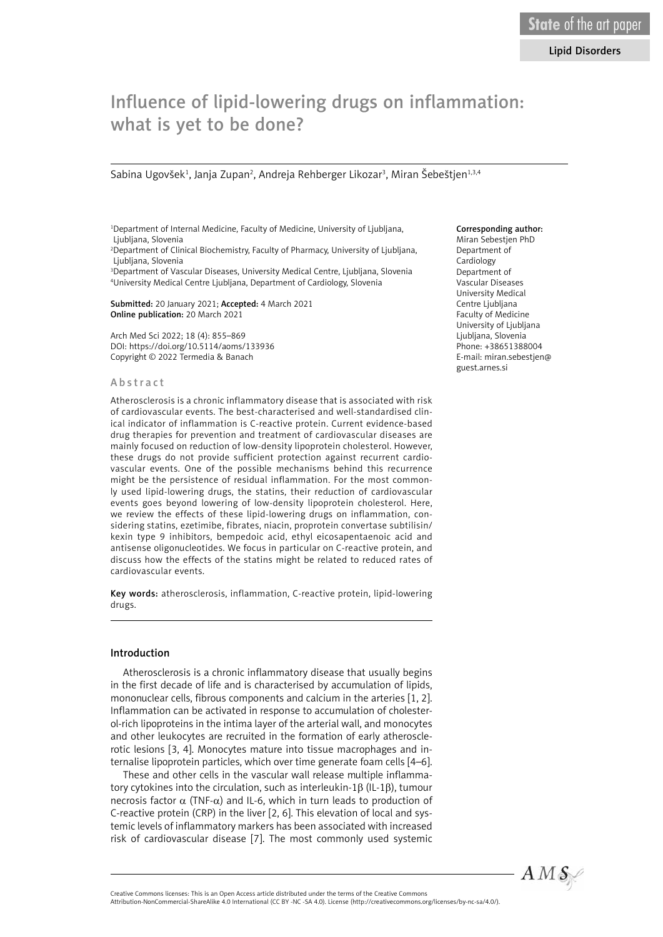# Influence of lipid-lowering drugs on inflammation: what is yet to be done?

Sabina Ugovšek<sup>1</sup>, Janja Zupan<sup>2</sup>, Andreja Rehberger Likozar<sup>3</sup>, Miran Šebeštjen<sup>1,3,4</sup>

1 Department of Internal Medicine, Faculty of Medicine, University of Ljubljana, Ljubljana, Slovenia

2 Department of Clinical Biochemistry, Faculty of Pharmacy, University of Ljubljana, Ljubljana, Slovenia

3 Department of Vascular Diseases, University Medical Centre, Ljubljana, Slovenia 4 University Medical Centre Ljubljana, Department of Cardiology, Slovenia

Submitted: 20 January 2021; Accepted: 4 March 2021 Online publication: 20 March 2021

Arch Med Sci 2022; 18 (4): 855–869 DOI: https://doi.org/10.5114/aoms/133936 Copyright © 2022 Termedia & Banach

#### Abstract

Atherosclerosis is a chronic inflammatory disease that is associated with risk of cardiovascular events. The best-characterised and well-standardised clinical indicator of inflammation is C-reactive protein. Current evidence-based drug therapies for prevention and treatment of cardiovascular diseases are mainly focused on reduction of low-density lipoprotein cholesterol. However, these drugs do not provide sufficient protection against recurrent cardiovascular events. One of the possible mechanisms behind this recurrence might be the persistence of residual inflammation. For the most commonly used lipid-lowering drugs, the statins, their reduction of cardiovascular events goes beyond lowering of low-density lipoprotein cholesterol. Here, we review the effects of these lipid-lowering drugs on inflammation, considering statins, ezetimibe, fibrates, niacin, proprotein convertase subtilisin/ kexin type 9 inhibitors, bempedoic acid, ethyl eicosapentaenoic acid and antisense oligonucleotides. We focus in particular on C-reactive protein, and discuss how the effects of the statins might be related to reduced rates of cardiovascular events.

Key words: atherosclerosis, inflammation, C-reactive protein, lipid-lowering drugs.

#### Introduction

Atherosclerosis is a chronic inflammatory disease that usually begins in the first decade of life and is characterised by accumulation of lipids, mononuclear cells, fibrous components and calcium in the arteries [1, 2]. Inflammation can be activated in response to accumulation of cholesterol-rich lipoproteins in the intima layer of the arterial wall, and monocytes and other leukocytes are recruited in the formation of early atherosclerotic lesions [3, 4]. Monocytes mature into tissue macrophages and internalise lipoprotein particles, which over time generate foam cells [4–6].

These and other cells in the vascular wall release multiple inflammatory cytokines into the circulation, such as interleukin-1β (IL-1β), tumour necrosis factor  $\alpha$  (TNF- $\alpha$ ) and IL-6, which in turn leads to production of C-reactive protein (CRP) in the liver [2, 6]. This elevation of local and systemic levels of inflammatory markers has been associated with increased risk of cardiovascular disease [7]. The most commonly used systemic

# Corresponding author:

Miran Sebestjen PhD Department of Cardiology Department of Vascular Diseases University Medical Centre Ljubljana Faculty of Medicine University of Ljubljana Ljubljana, Slovenia Phone: +38651388004 E-mail: miran.sebestjen@ guest.arnes.si



Attribution-NonCommercial-ShareAlike 4.0 International (CC BY -NC -SA 4.0). License (http://creativecommons.org/licenses/by-nc-sa/4.0/).

Creative Commons licenses: This is an Open Access article distributed under the terms of the Creative Commons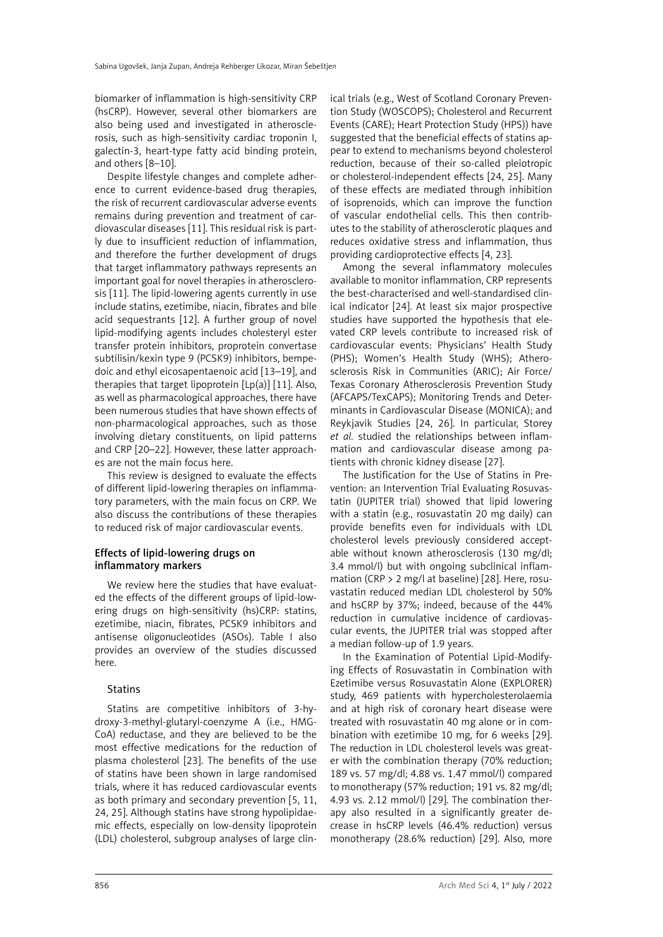biomarker of inflammation is high-sensitivity CRP (hsCRP). However, several other biomarkers are also being used and investigated in atherosclerosis, such as high-sensitivity cardiac troponin I, galectin-3, heart-type fatty acid binding protein, and others [8–10].

Despite lifestyle changes and complete adherence to current evidence-based drug therapies, the risk of recurrent cardiovascular adverse events remains during prevention and treatment of cardiovascular diseases [11]. This residual risk is partly due to insufficient reduction of inflammation, and therefore the further development of drugs that target inflammatory pathways represents an important goal for novel therapies in atherosclerosis [11]. The lipid-lowering agents currently in use include statins, ezetimibe, niacin, fibrates and bile acid sequestrants [12]. A further group of novel lipid-modifying agents includes cholesteryl ester transfer protein inhibitors, proprotein convertase subtilisin/kexin type 9 (PCSK9) inhibitors, bempedoic and ethyl eicosapentaenoic acid [13–19], and therapies that target lipoprotein [Lp(a)] [11]. Also, as well as pharmacological approaches, there have been numerous studies that have shown effects of non-pharmacological approaches, such as those involving dietary constituents, on lipid patterns and CRP [20–22]. However, these latter approaches are not the main focus here.

This review is designed to evaluate the effects of different lipid-lowering therapies on inflammatory parameters, with the main focus on CRP. We also discuss the contributions of these therapies to reduced risk of major cardiovascular events.

# Effects of lipid-lowering drugs on inflammatory markers

We review here the studies that have evaluated the effects of the different groups of lipid-lowering drugs on high-sensitivity (hs)CRP: statins, ezetimibe, niacin, fibrates, PCSK9 inhibitors and antisense oligonucleotides (ASOs). Table I also provides an overview of the studies discussed here.

# **Statins**

Statins are competitive inhibitors of 3-hydroxy-3-methyl-glutaryl-coenzyme A (i.e., HMG-CoA) reductase, and they are believed to be the most effective medications for the reduction of plasma cholesterol [23]. The benefits of the use of statins have been shown in large randomised trials, where it has reduced cardiovascular events as both primary and secondary prevention [5, 11, 24, 25]. Although statins have strong hypolipidaemic effects, especially on low-density lipoprotein (LDL) cholesterol, subgroup analyses of large clinical trials (e.g., West of Scotland Coronary Prevention Study (WOSCOPS); Cholesterol and Recurrent Events (CARE); Heart Protection Study (HPS)) have suggested that the beneficial effects of statins appear to extend to mechanisms beyond cholesterol reduction, because of their so-called pleiotropic or cholesterol-independent effects [24, 25]. Many of these effects are mediated through inhibition of isoprenoids, which can improve the function of vascular endothelial cells. This then contributes to the stability of atherosclerotic plaques and reduces oxidative stress and inflammation, thus providing cardioprotective effects [4, 23].

Among the several inflammatory molecules available to monitor inflammation, CRP represents the best-characterised and well-standardised clinical indicator [24]. At least six major prospective studies have supported the hypothesis that elevated CRP levels contribute to increased risk of cardiovascular events: Physicians' Health Study (PHS); Women's Health Study (WHS); Atherosclerosis Risk in Communities (ARIC); Air Force/ Texas Coronary Atherosclerosis Prevention Study (AFCAPS/TexCAPS); Monitoring Trends and Determinants in Cardiovascular Disease (MONICA); and Reykjavik Studies [24, 26]. In particular, Storey *et al.* studied the relationships between inflammation and cardiovascular disease among patients with chronic kidney disease [27].

The Justification for the Use of Statins in Prevention: an Intervention Trial Evaluating Rosuvastatin (JUPITER trial) showed that lipid lowering with a statin (e.g., rosuvastatin 20 mg daily) can provide benefits even for individuals with LDL cholesterol levels previously considered acceptable without known atherosclerosis (130 mg/dl; 3.4 mmol/l) but with ongoing subclinical inflammation (CRP > 2 mg/l at baseline) [28]. Here, rosuvastatin reduced median LDL cholesterol by 50% and hsCRP by 37%; indeed, because of the 44% reduction in cumulative incidence of cardiovascular events, the JUPITER trial was stopped after a median follow-up of 1.9 years.

In the Examination of Potential Lipid-Modifying Effects of Rosuvastatin in Combination with Ezetimibe versus Rosuvastatin Alone (EXPLORER) study, 469 patients with hypercholesterolaemia and at high risk of coronary heart disease were treated with rosuvastatin 40 mg alone or in combination with ezetimibe 10 mg, for 6 weeks [29]. The reduction in LDL cholesterol levels was greater with the combination therapy (70% reduction; 189 vs. 57 mg/dl; 4.88 vs. 1.47 mmol/l) compared to monotherapy (57% reduction; 191 vs. 82 mg/dl; 4.93 vs. 2.12 mmol/l) [29]. The combination therapy also resulted in a significantly greater decrease in hsCRP levels (46.4% reduction) versus monotherapy (28.6% reduction) [29]. Also, more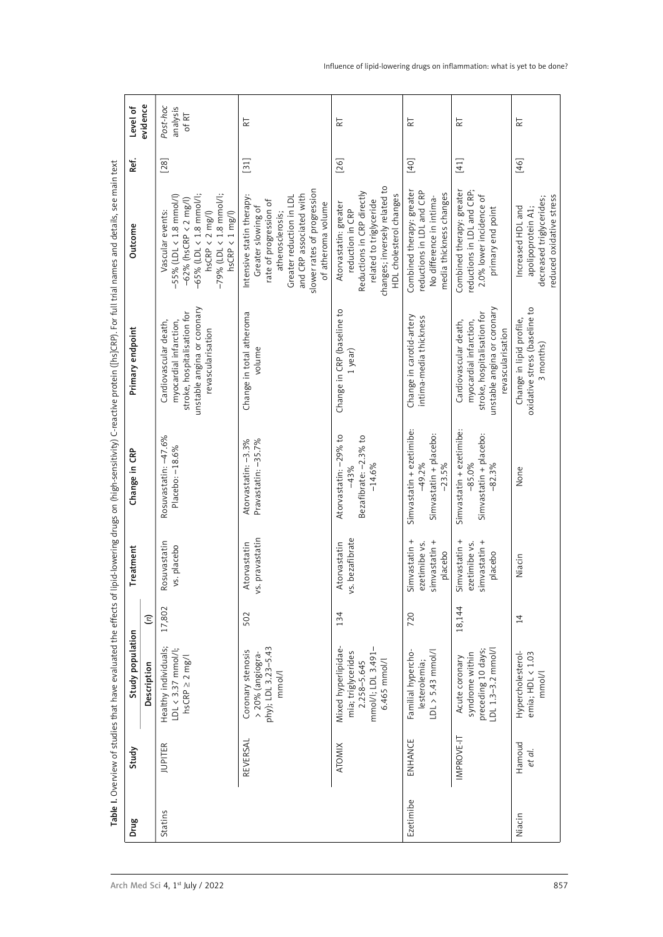| R<br>$\overline{R}$<br>눉                                                                                                                                                                                                                                                                                                                                                                                           | k                                                                                              | $\overline{\kappa}$                                                                                                                                                                                          | Post-hoc<br>analysis<br>of RT                                                                                                                                                                              | evidence<br>Level of            |
|--------------------------------------------------------------------------------------------------------------------------------------------------------------------------------------------------------------------------------------------------------------------------------------------------------------------------------------------------------------------------------------------------------------------|------------------------------------------------------------------------------------------------|--------------------------------------------------------------------------------------------------------------------------------------------------------------------------------------------------------------|------------------------------------------------------------------------------------------------------------------------------------------------------------------------------------------------------------|---------------------------------|
| $[41]$<br>$[46]$<br>$[40]$                                                                                                                                                                                                                                                                                                                                                                                         | $[26]$                                                                                         | $[31]$                                                                                                                                                                                                       | $\left[28\right]$                                                                                                                                                                                          | Ref.                            |
| changes; inversely related to<br>HDL cholesterol changes<br>Combined therapy: greater<br>reductions in LDL and CRP;<br>2.0% lower incidence of<br>Combined therapy: greater<br>reductions in LDL and CRP<br>No difference in intima-<br>media thickness changes<br>apolipoprotein A1;<br>decreased triglycerides;<br>reduced oxidative stress<br>related to triglyceride<br>Increased HDL and<br>primary end point | Atorvastatin: greater<br>reduction in CRP<br>Reductions in CRP directly                        | Greater reduction in LDL<br>and CRP associated with<br>slower rates of progression<br>Intensive statin therapy:<br>Greater slowing of<br>rate of progression of<br>atheroma volume<br>atherosclerosis;<br>of | Vascular events:<br>$-55\%$ (LDL < 1.8 mmol/l)<br>$-62\%$ (hsCRP < 2 mg/l)<br>$-63\%$ (LDL < 1.8 mmol/l;<br>$-65\%$ (LDL < 1.8 mmol/l;<br>hsCRP < 2 mg/l)<br>$-79\%$ (LDL < 1.8 mmol/l;<br>hsCRP < 1 mg/l) | Outcome                         |
| unstable angina or coronary<br>revascularisation<br>Change in lipid profile,<br>oxidative stress (baseline to<br>3 months)<br>Cardiovascular death,<br>myocardial infarction,<br>stroke, hospitalisation for<br>Change in carotid-artery<br>intima-media thickness                                                                                                                                                 | Change in CRP (baseline to<br>1 year)                                                          | Change in total atheroma<br>volume                                                                                                                                                                           | Cardiovascular death,<br>myocardial infarction,<br>stroke, hospitalisation for<br>unstable angina or coronary<br>revascularisation                                                                         | Primary endpoint                |
| Simvastatin + ezetimibe:<br>$-49.2\%$<br>Simvastatin + ezetimibe:<br>-85.0%<br>placebo:<br>Simvastatin + placebo:<br>Simvastatin + $p = -23.5\%$<br>$-82.3%$<br>None                                                                                                                                                                                                                                               | $-29% to$<br>$-2.3\%$ to<br>Bezafibrate: –2.<br>–14.6%<br>43%<br>Atorvastatin:                 | Atorvastatin: -3.3%<br>Pravastatin: -35.7%                                                                                                                                                                   | $-47.6%$<br>Rosuvastatin: –47.6<br>Placebo: –18.6%                                                                                                                                                         | Change in CRP                   |
| Simvastatin +<br>ezetimibe vs.<br>simvastatin +<br>Simvastatin +<br>ezetimibe vs.<br>simvastatin +<br>placebo<br>placebo<br>Niacin                                                                                                                                                                                                                                                                                 | Atorvastatin<br>vs. bezafibrate                                                                | vs. pravastatin<br>Atorvastatin                                                                                                                                                                              | Rosuvastatin<br>vs. placebo                                                                                                                                                                                | Treatment                       |
| 18,144<br>720<br>14                                                                                                                                                                                                                                                                                                                                                                                                | 134                                                                                            | 502                                                                                                                                                                                                          | 17,802                                                                                                                                                                                                     | $\mathfrak{S}$                  |
| Acute coronary<br>syndrome within<br>preceding 10 days;<br>LDL 1.3–3.2 mmol/l<br>LDL > 5.43 mmol/l<br>Familial hypercho-<br>Hypercholesterol-<br>emia; HDL < 1.03<br>mmol/l<br>lesterolemia;                                                                                                                                                                                                                       | Mixed hyperlipidae-<br>mia; triglycerides<br>2.258–5.645<br>mmol/l; LDL 3.491–<br>6.465 mmol/l | Coronary stenosis<br>> 20% (angiogra-<br>phy); LDL 3.23–5.43<br>mmol/l                                                                                                                                       | Healthy individuals;<br>LDL < 3.37 mmol/l;<br>hsCRP ≥ 2 mg/l                                                                                                                                               | Study population<br>Description |
| IMPROVE-IT<br>ENHANCE<br>Hamoud<br>et al.                                                                                                                                                                                                                                                                                                                                                                          | <b>ATOMIX</b>                                                                                  | REVERSAL                                                                                                                                                                                                     | <b>JUPITER</b>                                                                                                                                                                                             | Study                           |
| Ezetimibe<br>Niacin                                                                                                                                                                                                                                                                                                                                                                                                |                                                                                                |                                                                                                                                                                                                              | Statins                                                                                                                                                                                                    | Drug                            |

Influence of lipid-lowering drugs on inflammation: what is yet to be done?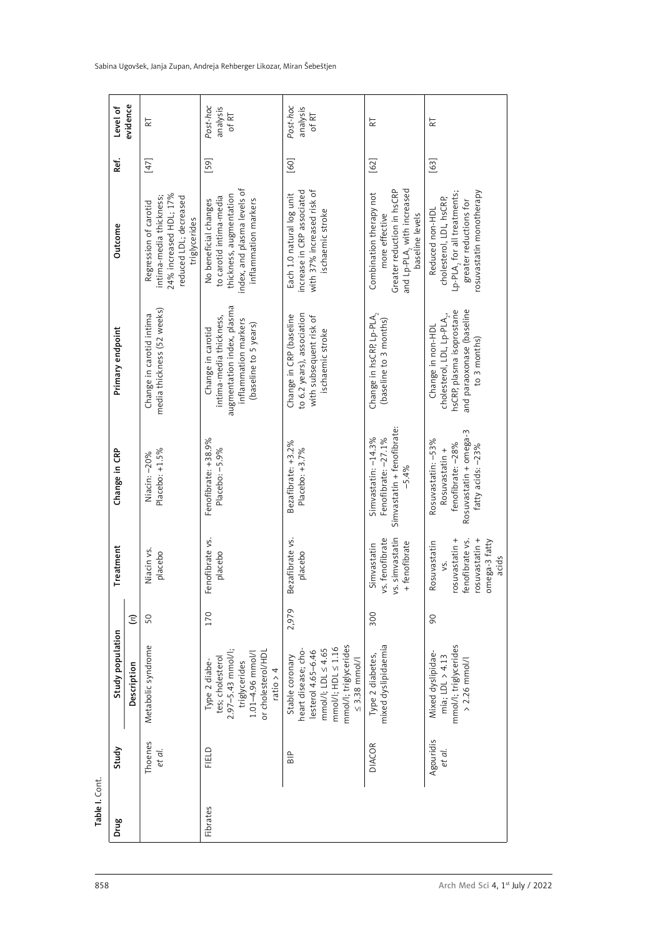| Level of<br>evidence   | RT                                                                                                                    | Post-hoc<br>analysis<br>of RT                                                                                                      | Post-hoc<br>analysis<br>of RT                                                                                                                  | $\overline{\mathbf{R}}$                                                                                                              | $\overline{\kappa}$                                                                                                                          |
|------------------------|-----------------------------------------------------------------------------------------------------------------------|------------------------------------------------------------------------------------------------------------------------------------|------------------------------------------------------------------------------------------------------------------------------------------------|--------------------------------------------------------------------------------------------------------------------------------------|----------------------------------------------------------------------------------------------------------------------------------------------|
| Ref.                   | $[47]$                                                                                                                | $[59]$                                                                                                                             | $[60]$                                                                                                                                         | $[62]$                                                                                                                               | $[63]$                                                                                                                                       |
| Outcome                | Regression of carotid<br>intima-media thickness;<br>24% increased HDL; 17%<br>reduced LDL; decreased<br>triglycerides | No beneficial changes<br>to carotid intima-media<br>thickness, augmentation<br>index, and plasma levels of<br>inflammation markers | Each 1.0 natural log unit<br>increase in CRP associated<br>with 37% increased risk of<br>ischaemic stroke                                      | Combination therapy not<br>more effective<br>Greater reduction in hsCRP<br>and Lp-PLA <sub>2</sub> with increased<br>baseline levels | Reduced non-HDL<br>cholesterol, LDL, hsCRP,<br>Lp-PLA <sub>,</sub> for all treatments;<br>greater reductions for<br>rosuvastatin monotherapy |
| Primary endpoint       | Change in carotid intima<br>media thickness (52 weeks)                                                                | Change in carotid<br>intima-media thickness,<br>augmentation index, plasma<br>inflammation markers<br>(baseline to 5 years)        | Change in CRP (baseline<br>to 6.2 years), association<br>with subsequent risk of<br>ischaemic stroke                                           | Change in hsCRP, $L_{\rm P}$ -PLA <sub>2</sub><br>(baseline to 3 months)                                                             | Change in non-HDL<br>cholesterol, LDL, Lp-PLA,,<br>hsCRP, plasma isoprostane<br>and paraoxonase (baseline<br>and to 3 months)                |
| Change in CRP          | Niacin: -20%<br>Placebo: +1.5%                                                                                        | Fenofibrate: +38.9%<br>Placebo: -5.9%                                                                                              | Bezafibrate: +3.2%<br>Placebo: +3.7%                                                                                                           | Simvastatin + fenofibrate:<br>Simvastatin: -14.3%<br>Fenofibrate: -27.1%<br>5.4%                                                     | Rosuvastatin +<br>fenofibrate: –28%<br>Rosuvastatin + omega-3<br>fatty acids: –23%<br>$-53%$<br>Rosuvastatin:                                |
| Treatment              | Niacin vs.<br>placebo                                                                                                 | γŚ.<br>Fenofibrate<br>placebo                                                                                                      | Bezafibrate vs.<br>placebo                                                                                                                     | Simvastatin<br>vs. fenofibrate<br>vs. simvastatin<br>+ fenofibrate                                                                   | fenofibrate vs.<br>rosuvastatin +<br>omega-3 fatty<br>acids<br>rosuvastatin +<br>Rosuvastatin<br>Š.                                          |
|                        | $\Xi$<br>50                                                                                                           | 170                                                                                                                                | 2,979                                                                                                                                          | 300                                                                                                                                  | $\overline{6}$                                                                                                                               |
| Study population       | Metabolic syndrome<br>Description                                                                                     | Type 2 diabe-<br>tes; cholesterol<br>2.97–5.43 mmol/l;<br>triglycerides<br>1.01–4.96 mmol/l<br>or cholesterol/HDL<br>ratio > 4     | heart disease; cho-<br>lesterol 4.65–6.46<br>mmol/i; LDL ≤ 4.65<br>mmol/i; HDL ≤ 1.16<br>mmol/i; triglycerides<br>mmol/i<br>coronary<br>Stable | Type 2 diabetes,<br>mixed dyslipidaemia                                                                                              | Mixed dyslipidae-<br>mia; LDL > 4.13<br>mmol/l; triglycerides<br>> 2.26 mmol/l                                                               |
| Study                  | Thoenes<br>et al.                                                                                                     | FIELD                                                                                                                              | $\frac{p}{B}$                                                                                                                                  | <b>DIACOR</b>                                                                                                                        | Agouridis<br>et al.                                                                                                                          |
| lable I. Cont.<br>Drug |                                                                                                                       | <b>Fibrates</b>                                                                                                                    |                                                                                                                                                |                                                                                                                                      |                                                                                                                                              |

Sabina Ugovšek, Janja Zupan, Andreja Rehberger Likozar, Miran Šebeštjen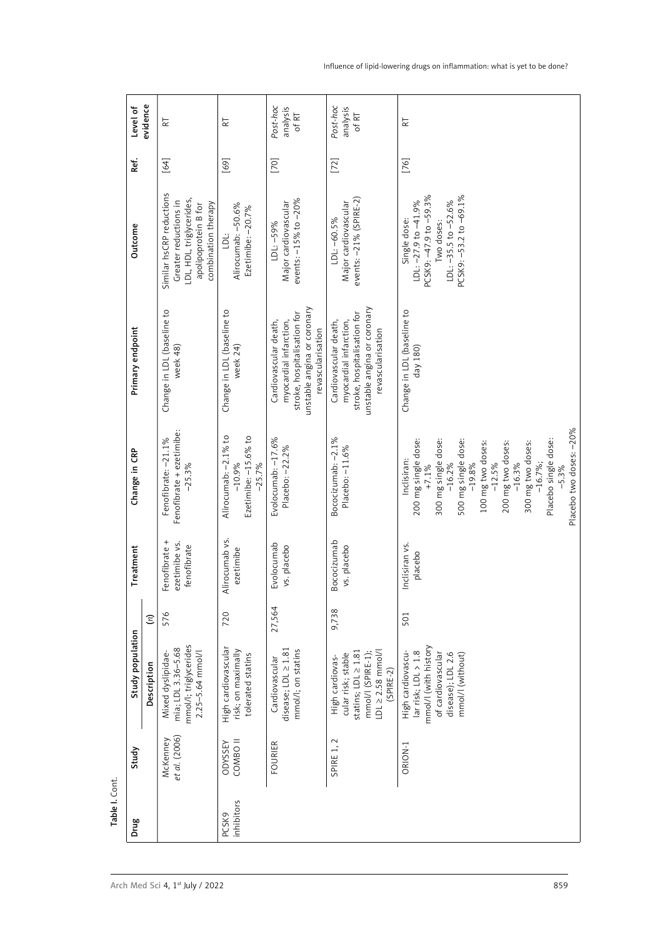| Level of              | evidence<br>$\overline{\kappa}$                           |                                                                                                                              | $\overline{\kappa}$                                                    | Post-hoc<br>analysis<br>of RT                                                                                                      | Post-hoc<br>analysis<br>of RT                                                                                                      | $\overline{\text{R}}$                                                                                                                                                                                                                                                   |
|-----------------------|-----------------------------------------------------------|------------------------------------------------------------------------------------------------------------------------------|------------------------------------------------------------------------|------------------------------------------------------------------------------------------------------------------------------------|------------------------------------------------------------------------------------------------------------------------------------|-------------------------------------------------------------------------------------------------------------------------------------------------------------------------------------------------------------------------------------------------------------------------|
| Ref.                  | $[64]$                                                    |                                                                                                                              | $[69]$                                                                 | $[70]$                                                                                                                             | $[72]$                                                                                                                             | $[76]$                                                                                                                                                                                                                                                                  |
| Outcome               |                                                           | Similar hsCRP reductions<br>Greater reductions in<br>LDL, HDL, triglycerides,<br>apolipoprotein B for<br>combination therapy | $-50.6%$<br>$-20.7%$<br><u>:T</u><br>Alirocumab:<br>Ezetimibe: -       | Major cardiovascular<br>events: -15% to -20%<br>$-59%$<br>$\begin{array}{c}\n\vdots \\ \hline\n\end{array}$                        | LDL: –60.5%<br>Major cardiovascular<br>events: –21% (SPIRE-2)                                                                      | Single dose:<br>LDL: –27.9 to –41.9%<br>PCSK9: –47.9 to –59.3%<br>Two doses:<br>LDL: –35.5 to –52.6%<br>PCSK9: –53.2 to –69.1%                                                                                                                                          |
| Primary endpoint      | Change in LDL (baseline to<br>week 48)                    |                                                                                                                              | Change in LDL (baseline to<br>week 24)                                 | Cardiovascular death,<br>myocardial infarction,<br>stroke, hospitalisation for<br>unstable angina or coronary<br>revascularisation | myocardial infarction,<br>stroke, hospitalisation for<br>unstable angina or coronary<br>revascularisation<br>Cardiovascular death, | Change in LDL (baseline to<br>day 180)                                                                                                                                                                                                                                  |
| Change in CRP         | Fenofibrate: -21.1%<br>Fenofibrate + ezetimibe:<br>-25.3% |                                                                                                                              | Alirocumab: -2.1% to<br>-10.9%<br>Ezetimibe: $-15.6\%$ to<br>$-25.7\%$ | $-17.6%$<br>Evolocumab: -17.6<br>Placebo: -22.2%                                                                                   | Bococizumab: -2.1%<br>Placebo: -11.6%                                                                                              | 300 mg two doses:<br>-16.7%;<br>Placebo single dose:<br>-5.3%<br>Placebo two doses: -20%<br>Inclisiran:<br>200 mg single dose:<br>+7.1%<br>300 mg single dose:<br>-16.2%<br>500 mg single dose:<br>-19.8%<br>100 mg two doses:<br>-12.5%<br>200 mg two doses:<br>-16.3% |
| Treatment             | Fenofibrate +                                             | ezetimibe vs.<br>fenofibrate                                                                                                 | lirocumab vs.<br>ezetimibe<br>⋜                                        | Evolocumab<br>vs. placebo                                                                                                          | Bococizumab<br>vs. placebo                                                                                                         | Inclisiran vs.<br>placebo                                                                                                                                                                                                                                               |
|                       | 576<br>$\widehat{\boldsymbol{z}}$                         |                                                                                                                              | 720                                                                    | 27,564                                                                                                                             | 9,738                                                                                                                              | 501                                                                                                                                                                                                                                                                     |
| Study population      | Description                                               | Mixed dyslipidae-<br>mia; LDL 3.36–5.68<br>mmol/l; triglycerides<br>2.25–5.64 mmol/l                                         | High cardiovascular<br>risk; on maximally<br>tolerated statins         | Cardiovascular<br>disease; LDL ≥ 1.81<br>mmol/!; on statins                                                                        | High cardiovas<br>cular risk; stable<br>statins; LDL ≥ 1.81<br>mmol/l (SPIRE-1);<br>LDL ≥ 2.58 mmol/l<br>(SPIRE-2)                 | High cardiovascu-<br>lar risk; LDL > 1.8<br>mmol/l (with history<br>of cardiovascular<br>disease); LDL 2.6<br>mmol/l (without)                                                                                                                                          |
| Study                 | McKenney<br>et al. (2006)                                 |                                                                                                                              | ODYSSEY<br>COMBO II                                                    | <b>FOURIER</b>                                                                                                                     | $\sim$<br>$\overline{1}$<br>SPIRE                                                                                                  | ORION-1                                                                                                                                                                                                                                                                 |
| Table I. Cont<br>Drug |                                                           |                                                                                                                              | PCSK9<br>inhibitors                                                    |                                                                                                                                    |                                                                                                                                    |                                                                                                                                                                                                                                                                         |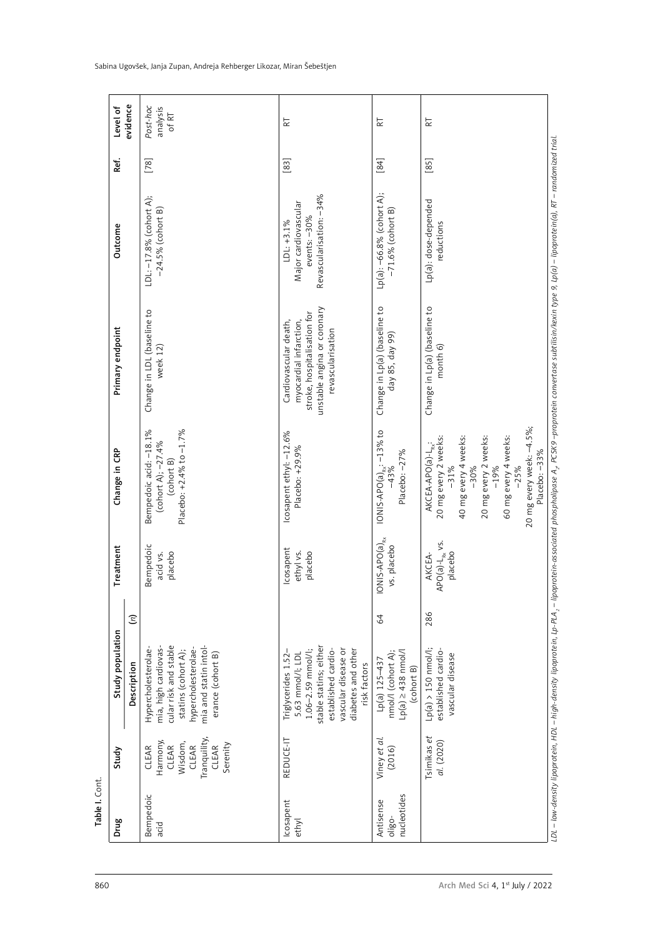|                       | Level of<br>evidence                              | Post-hoc<br>analysis<br>of RT                                                                                                                                    | $\overline{\kappa}$                                                                                                                                                                               | $\overline{\kappa}$                                                                      | $\overline{\kappa}$                                                                                                                                                                                                             |
|-----------------------|---------------------------------------------------|------------------------------------------------------------------------------------------------------------------------------------------------------------------|---------------------------------------------------------------------------------------------------------------------------------------------------------------------------------------------------|------------------------------------------------------------------------------------------|---------------------------------------------------------------------------------------------------------------------------------------------------------------------------------------------------------------------------------|
| Ref.                  |                                                   |                                                                                                                                                                  | $[83]$                                                                                                                                                                                            | $[84]$                                                                                   | $[85]$                                                                                                                                                                                                                          |
|                       | Outcome                                           | $\hat{\mathbb{A}}$ :<br>LDL: –17.8% (cohort .<br>–24.5% (cohort B)                                                                                               | $-34%$<br>LDL: +3.1%<br>Major cardiovascular<br>events: –30%<br>events: –30%<br>Revascularisation:                                                                                                | Lp(a): –66.8% (cohort A);<br>–71.6% (cohort B)                                           | Lp(a): dose-depended<br>reductions                                                                                                                                                                                              |
| Primary endpoint      |                                                   | Change in LDL (baseline to<br>week 12)                                                                                                                           | Cardiovascular death,<br>myocardial infarction,<br>stroke, hospitalisation for<br>unstable angina or coronary<br>revascularisation                                                                | Change in Lp(a) (baseline to<br>day 85, day 99)                                          | Change in Lp(a) (baseline to<br>month 6)                                                                                                                                                                                        |
| Change in CRP         |                                                   | Bempedoic acid: -18.1%<br>(cohort A); -27.4%<br>(cohort B)<br>Placebo: +2.4% to -1.7%                                                                            | Icosapent ethyl: –12.6%<br>Placebo: +29.9%                                                                                                                                                        | IONIS-APO(a) <sub>R<math>\frac{1}{2}</math></sub> -13% to<br>$-27%$<br>Placebo:          | $-4.5\%$ ;<br>AKCEA-APO(a)-L <sub>ex</sub> :<br>20 mg every 2 weeks:<br>-31%<br>4 weeks:<br>20 mg every 2 weeks:<br>-19%<br>4 weeks:<br>20 mg every week: -<br>Placebo: --33%<br>40 mg every 4<br>-30%<br>$-25%$<br>60 mg every |
|                       | <b>Treatment</b>                                  | Bempedoic<br>acid vs.<br>placebo                                                                                                                                 | Icosapent<br>ethyl vs.<br>placebo                                                                                                                                                                 | $\overline{\text{IONIS-APO(a)}}_{\text{Rx}}$<br>vs. placebo                              | AKCEA-<br>APO(a)-L <sub>Rx</sub> vs.<br>placebo                                                                                                                                                                                 |
|                       | $\mathfrak{S}$<br>Study population<br>Description | Hypercholesterolae-<br>mia, high cardiovas-<br>cular risk and stable<br>statins (cohort A);<br>hypercholesterolae-<br>mia and statin intol-<br>erance (cohort B) | Triglycerides 1.52-<br>5.63 mmol/l; LDL<br>1.06–2.59 mmol/l;<br>stable statins; either<br>established cardio-<br>established cardio-<br>vascular disease or<br>diabetes and other<br>risk factors | $\mathcal{Q}$<br>Lp(a) 125–437<br>nmol/l (cohort A);<br>Lp(a) ≥ 438 nmol/l<br>(cohort B) | 286<br>Lp(a) > 150 nmol/l;<br>established cardio-<br>vascular disease                                                                                                                                                           |
| Study                 |                                                   | Tranquility,<br>CLEAR<br>Harmony,<br>CLEAR<br>Wisdom,<br>CLEAR<br>Serenity<br>CLEAR                                                                              | REDUCE-IT                                                                                                                                                                                         | Viney et al.<br>(2016)                                                                   | Tsimikas et<br>al. (2020)                                                                                                                                                                                                       |
| able I. Cont.<br>Drug |                                                   | Bempedoic<br>acid                                                                                                                                                | Icosapent<br>ethyl                                                                                                                                                                                | oligo-<br>nucleotides<br>Antisense                                                       |                                                                                                                                                                                                                                 |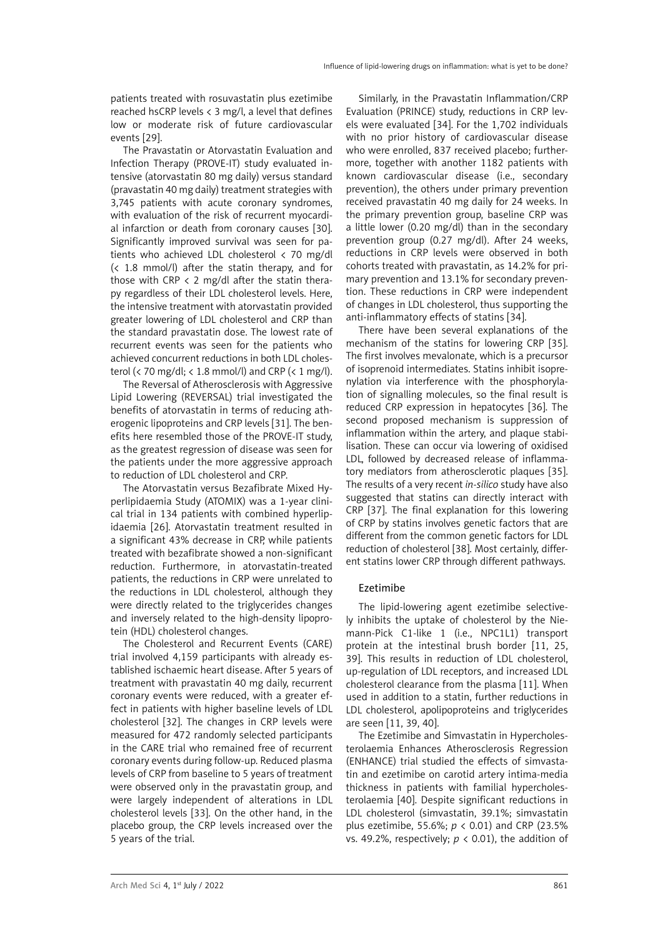patients treated with rosuvastatin plus ezetimibe reached hsCRP levels < 3 mg/l, a level that defines low or moderate risk of future cardiovascular events [29].

The Pravastatin or Atorvastatin Evaluation and Infection Therapy (PROVE-IT) study evaluated intensive (atorvastatin 80 mg daily) versus standard (pravastatin 40 mg daily) treatment strategies with 3,745 patients with acute coronary syndromes, with evaluation of the risk of recurrent myocardial infarction or death from coronary causes [30]. Significantly improved survival was seen for patients who achieved LDL cholesterol < 70 mg/dl (< 1.8 mmol/l) after the statin therapy, and for those with CRP  $\langle$  2 mg/dl after the statin therapy regardless of their LDL cholesterol levels. Here, the intensive treatment with atorvastatin provided greater lowering of LDL cholesterol and CRP than the standard pravastatin dose. The lowest rate of recurrent events was seen for the patients who achieved concurrent reductions in both LDL cholesterol (< 70 mg/dl; < 1.8 mmol/l) and CRP (< 1 mg/l).

The Reversal of Atherosclerosis with Aggressive Lipid Lowering (REVERSAL) trial investigated the benefits of atorvastatin in terms of reducing atherogenic lipoproteins and CRP levels [31]. The benefits here resembled those of the PROVE-IT study, as the greatest regression of disease was seen for the patients under the more aggressive approach to reduction of LDL cholesterol and CRP.

The Atorvastatin versus Bezafibrate Mixed Hyperlipidaemia Study (ATOMIX) was a 1-year clinical trial in 134 patients with combined hyperlipidaemia [26]. Atorvastatin treatment resulted in a significant 43% decrease in CRP, while patients treated with bezafibrate showed a non-significant reduction. Furthermore, in atorvastatin-treated patients, the reductions in CRP were unrelated to the reductions in LDL cholesterol, although they were directly related to the triglycerides changes and inversely related to the high-density lipoprotein (HDL) cholesterol changes.

The Cholesterol and Recurrent Events (CARE) trial involved 4,159 participants with already established ischaemic heart disease. After 5 years of treatment with pravastatin 40 mg daily, recurrent coronary events were reduced, with a greater effect in patients with higher baseline levels of LDL cholesterol [32]. The changes in CRP levels were measured for 472 randomly selected participants in the CARE trial who remained free of recurrent coronary events during follow-up. Reduced plasma levels of CRP from baseline to 5 years of treatment were observed only in the pravastatin group, and were largely independent of alterations in LDL cholesterol levels [33]. On the other hand, in the placebo group, the CRP levels increased over the 5 years of the trial.

Similarly, in the Pravastatin Inflammation/CRP Evaluation (PRINCE) study, reductions in CRP levels were evaluated [34]. For the 1,702 individuals with no prior history of cardiovascular disease who were enrolled, 837 received placebo; furthermore, together with another 1182 patients with known cardiovascular disease (i.e., secondary prevention), the others under primary prevention received pravastatin 40 mg daily for 24 weeks. In the primary prevention group, baseline CRP was a little lower (0.20 mg/dl) than in the secondary prevention group (0.27 mg/dl). After 24 weeks, reductions in CRP levels were observed in both cohorts treated with pravastatin, as 14.2% for primary prevention and 13.1% for secondary prevention. These reductions in CRP were independent of changes in LDL cholesterol, thus supporting the anti-inflammatory effects of statins [34].

There have been several explanations of the mechanism of the statins for lowering CRP [35]. The first involves mevalonate, which is a precursor of isoprenoid intermediates. Statins inhibit isoprenylation via interference with the phosphorylation of signalling molecules, so the final result is reduced CRP expression in hepatocytes [36]. The second proposed mechanism is suppression of inflammation within the artery, and plaque stabilisation. These can occur via lowering of oxidised LDL, followed by decreased release of inflammatory mediators from atherosclerotic plaques [35]. The results of a very recent *in-silico* study have also suggested that statins can directly interact with CRP [37]. The final explanation for this lowering of CRP by statins involves genetic factors that are different from the common genetic factors for LDL reduction of cholesterol [38]. Most certainly, different statins lower CRP through different pathways.

# Ezetimibe

The lipid-lowering agent ezetimibe selectively inhibits the uptake of cholesterol by the Niemann-Pick C1-like 1 (i.e., NPC1L1) transport protein at the intestinal brush border [11, 25, 39]. This results in reduction of LDL cholesterol, up-regulation of LDL receptors, and increased LDL cholesterol clearance from the plasma [11]. When used in addition to a statin, further reductions in LDL cholesterol, apolipoproteins and triglycerides are seen [11, 39, 40].

The Ezetimibe and Simvastatin in Hypercholesterolaemia Enhances Atherosclerosis Regression (ENHANCE) trial studied the effects of simvastatin and ezetimibe on carotid artery intima-media thickness in patients with familial hypercholesterolaemia [40]. Despite significant reductions in LDL cholesterol (simvastatin, 39.1%; simvastatin plus ezetimibe, 55.6%; *p* < 0.01) and CRP (23.5% vs. 49.2%, respectively;  $p < 0.01$ ), the addition of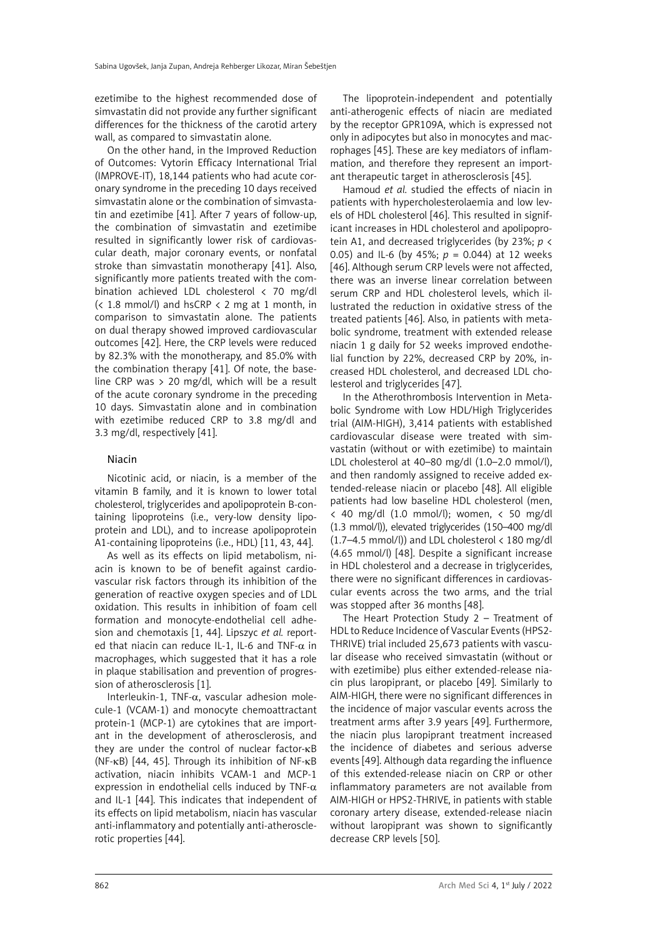ezetimibe to the highest recommended dose of simvastatin did not provide any further significant differences for the thickness of the carotid artery wall, as compared to simvastatin alone.

On the other hand, in the Improved Reduction of Outcomes: Vytorin Efficacy International Trial (IMPROVE-IT), 18,144 patients who had acute coronary syndrome in the preceding 10 days received simvastatin alone or the combination of simvastatin and ezetimibe [41]. After 7 years of follow-up, the combination of simvastatin and ezetimibe resulted in significantly lower risk of cardiovascular death, major coronary events, or nonfatal stroke than simvastatin monotherapy [41]. Also, significantly more patients treated with the combination achieved LDL cholesterol < 70 mg/dl (< 1.8 mmol/l) and hsCRP < 2 mg at 1 month, in comparison to simvastatin alone. The patients on dual therapy showed improved cardiovascular outcomes [42]. Here, the CRP levels were reduced by 82.3% with the monotherapy, and 85.0% with the combination therapy [41]. Of note, the baseline CRP was  $> 20$  mg/dl, which will be a result of the acute coronary syndrome in the preceding 10 days. Simvastatin alone and in combination with ezetimibe reduced CRP to 3.8 mg/dl and 3.3 mg/dl, respectively [41].

# Niacin

Nicotinic acid, or niacin, is a member of the vitamin B family, and it is known to lower total cholesterol, triglycerides and apolipoprotein B-containing lipoproteins (i.e., very-low density lipoprotein and LDL), and to increase apolipoprotein A1-containing lipoproteins (i.e., HDL) [11, 43, 44].

As well as its effects on lipid metabolism, niacin is known to be of benefit against cardiovascular risk factors through its inhibition of the generation of reactive oxygen species and of LDL oxidation. This results in inhibition of foam cell formation and monocyte-endothelial cell adhesion and chemotaxis [1, 44]. Lipszyc *et al.* reported that niacin can reduce IL-1, IL-6 and TNF- $\alpha$  in macrophages, which suggested that it has a role in plaque stabilisation and prevention of progression of atherosclerosis [1].

Interleukin-1, TNF-α, vascular adhesion molecule-1 (VCAM-1) and monocyte chemoattractant protein-1 (MCP-1) are cytokines that are important in the development of atherosclerosis, and they are under the control of nuclear factor-κB (NF-κB) [44, 45]. Through its inhibition of NF-κB activation, niacin inhibits VCAM-1 and MCP-1 expression in endothelial cells induced by TNF- $\alpha$ and IL-1 [44]. This indicates that independent of its effects on lipid metabolism, niacin has vascular anti-inflammatory and potentially anti-atherosclerotic properties [44].

The lipoprotein-independent and potentially anti-atherogenic effects of niacin are mediated by the receptor GPR109A, which is expressed not only in adipocytes but also in monocytes and macrophages [45]. These are key mediators of inflammation, and therefore they represent an important therapeutic target in atherosclerosis [45].

Hamoud *et al.* studied the effects of niacin in patients with hypercholesterolaemia and low levels of HDL cholesterol [46]. This resulted in significant increases in HDL cholesterol and apolipoprotein A1, and decreased triglycerides (by 23%; *p* < 0.05) and IL-6 (by 45%; *p* = 0.044) at 12 weeks [46]. Although serum CRP levels were not affected, there was an inverse linear correlation between serum CRP and HDL cholesterol levels, which illustrated the reduction in oxidative stress of the treated patients [46]. Also, in patients with metabolic syndrome, treatment with extended release niacin 1 g daily for 52 weeks improved endothelial function by 22%, decreased CRP by 20%, increased HDL cholesterol, and decreased LDL cholesterol and triglycerides [47].

In the Atherothrombosis Intervention in Metabolic Syndrome with Low HDL/High Triglycerides trial (AIM-HIGH), 3,414 patients with established cardiovascular disease were treated with simvastatin (without or with ezetimibe) to maintain LDL cholesterol at 40–80 mg/dl (1.0–2.0 mmol/l), and then randomly assigned to receive added extended-release niacin or placebo [48]. All eligible patients had low baseline HDL cholesterol (men,  $\langle$  40 mg/dl (1.0 mmol/l); women,  $\langle$  50 mg/dl (1.3 mmol/l)), elevated triglycerides (150–400 mg/dl (1.7–4.5 mmol/l)) and LDL cholesterol < 180 mg/dl (4.65 mmol/l) [48]. Despite a significant increase in HDL cholesterol and a decrease in triglycerides, there were no significant differences in cardiovascular events across the two arms, and the trial was stopped after 36 months [48].

The Heart Protection Study 2 – Treatment of HDL to Reduce Incidence of Vascular Events (HPS2- THRIVE) trial included 25,673 patients with vascular disease who received simvastatin (without or with ezetimibe) plus either extended-release niacin plus laropiprant, or placebo [49]. Similarly to AIM-HIGH, there were no significant differences in the incidence of major vascular events across the treatment arms after 3.9 years [49]. Furthermore, the niacin plus laropiprant treatment increased the incidence of diabetes and serious adverse events [49]. Although data regarding the influence of this extended-release niacin on CRP or other inflammatory parameters are not available from AIM-HIGH or HPS2-THRIVE, in patients with stable coronary artery disease, extended-release niacin without laropiprant was shown to significantly decrease CRP levels [50].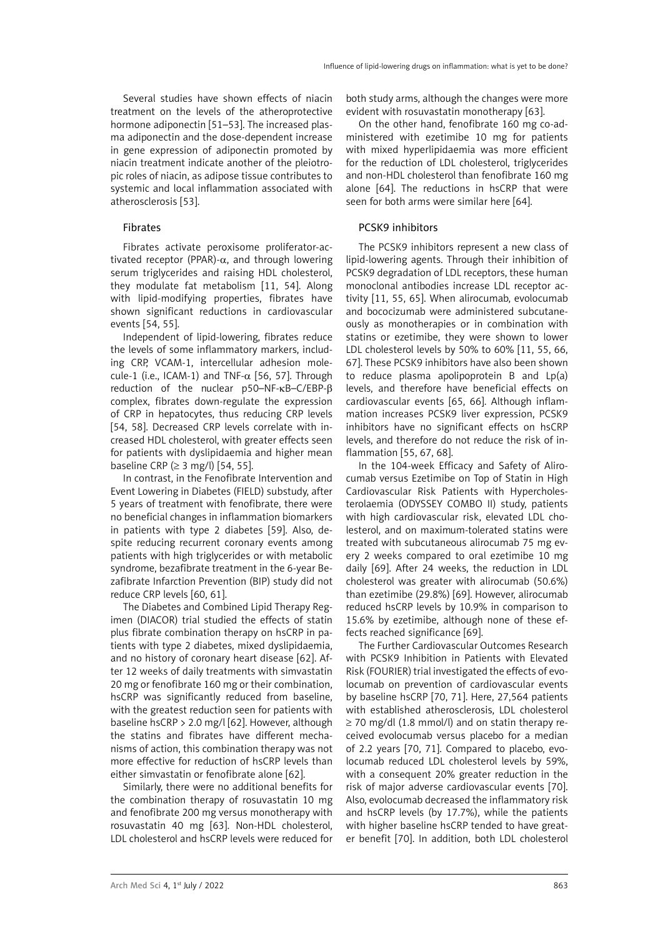Several studies have shown effects of niacin treatment on the levels of the atheroprotective hormone adiponectin [51–53]. The increased plasma adiponectin and the dose-dependent increase in gene expression of adiponectin promoted by niacin treatment indicate another of the pleiotropic roles of niacin, as adipose tissue contributes to systemic and local inflammation associated with atherosclerosis [53].

#### Fibrates

Fibrates activate peroxisome proliferator-activated receptor (PPAR)- $\alpha$ , and through lowering serum triglycerides and raising HDL cholesterol, they modulate fat metabolism [11, 54]. Along with lipid-modifying properties, fibrates have shown significant reductions in cardiovascular events [54, 55].

Independent of lipid-lowering, fibrates reduce the levels of some inflammatory markers, including CRP, VCAM-1, intercellular adhesion molecule-1 (i.e., ICAM-1) and TNF- $\alpha$  [56, 57]. Through reduction of the nuclear p50–NF-κB–C/EBP-β complex, fibrates down-regulate the expression of CRP in hepatocytes, thus reducing CRP levels [54, 58]. Decreased CRP levels correlate with increased HDL cholesterol, with greater effects seen for patients with dyslipidaemia and higher mean baseline CRP ( $\geq$  3 mg/l) [54, 55].

In contrast, in the Fenofibrate Intervention and Event Lowering in Diabetes (FIELD) substudy, after 5 years of treatment with fenofibrate, there were no beneficial changes in inflammation biomarkers in patients with type 2 diabetes [59]. Also, despite reducing recurrent coronary events among patients with high triglycerides or with metabolic syndrome, bezafibrate treatment in the 6-year Bezafibrate Infarction Prevention (BIP) study did not reduce CRP levels [60, 61].

The Diabetes and Combined Lipid Therapy Regimen (DIACOR) trial studied the effects of statin plus fibrate combination therapy on hsCRP in patients with type 2 diabetes, mixed dyslipidaemia, and no history of coronary heart disease [62]. After 12 weeks of daily treatments with simvastatin 20 mg or fenofibrate 160 mg or their combination, hsCRP was significantly reduced from baseline, with the greatest reduction seen for patients with baseline hsCRP > 2.0 mg/l [62]. However, although the statins and fibrates have different mechanisms of action, this combination therapy was not more effective for reduction of hsCRP levels than either simvastatin or fenofibrate alone [62].

Similarly, there were no additional benefits for the combination therapy of rosuvastatin 10 mg and fenofibrate 200 mg versus monotherapy with rosuvastatin 40 mg [63]. Non-HDL cholesterol, LDL cholesterol and hsCRP levels were reduced for

both study arms, although the changes were more evident with rosuvastatin monotherapy [63].

On the other hand, fenofibrate 160 mg co-administered with ezetimibe 10 mg for patients with mixed hyperlipidaemia was more efficient for the reduction of LDL cholesterol, triglycerides and non-HDL cholesterol than fenofibrate 160 mg alone [64]. The reductions in hsCRP that were seen for both arms were similar here [64].

## PCSK9 inhibitors

The PCSK9 inhibitors represent a new class of lipid-lowering agents. Through their inhibition of PCSK9 degradation of LDL receptors, these human monoclonal antibodies increase LDL receptor activity [11, 55, 65]. When alirocumab, evolocumab and bococizumab were administered subcutaneously as monotherapies or in combination with statins or ezetimibe, they were shown to lower LDL cholesterol levels by 50% to 60% [11, 55, 66, 67]. These PCSK9 inhibitors have also been shown to reduce plasma apolipoprotein B and Lp(a) levels, and therefore have beneficial effects on cardiovascular events [65, 66]. Although inflammation increases PCSK9 liver expression, PCSK9 inhibitors have no significant effects on hsCRP levels, and therefore do not reduce the risk of inflammation [55, 67, 68].

In the 104-week Efficacy and Safety of Alirocumab versus Ezetimibe on Top of Statin in High Cardiovascular Risk Patients with Hypercholesterolaemia (ODYSSEY COMBO II) study, patients with high cardiovascular risk, elevated LDL cholesterol, and on maximum-tolerated statins were treated with subcutaneous alirocumab 75 mg every 2 weeks compared to oral ezetimibe 10 mg daily [69]. After 24 weeks, the reduction in LDL cholesterol was greater with alirocumab (50.6%) than ezetimibe (29.8%) [69]. However, alirocumab reduced hsCRP levels by 10.9% in comparison to 15.6% by ezetimibe, although none of these effects reached significance [69].

The Further Cardiovascular Outcomes Research with PCSK9 Inhibition in Patients with Elevated Risk (FOURIER) trial investigated the effects of evolocumab on prevention of cardiovascular events by baseline hsCRP [70, 71]. Here, 27,564 patients with established atherosclerosis, LDL cholesterol ≥ 70 mg/dl (1.8 mmol/l) and on statin therapy received evolocumab versus placebo for a median of 2.2 years [70, 71]. Compared to placebo, evolocumab reduced LDL cholesterol levels by 59%, with a consequent 20% greater reduction in the risk of major adverse cardiovascular events [70]. Also, evolocumab decreased the inflammatory risk and hsCRP levels (by 17.7%), while the patients with higher baseline hsCRP tended to have greater benefit [70]. In addition, both LDL cholesterol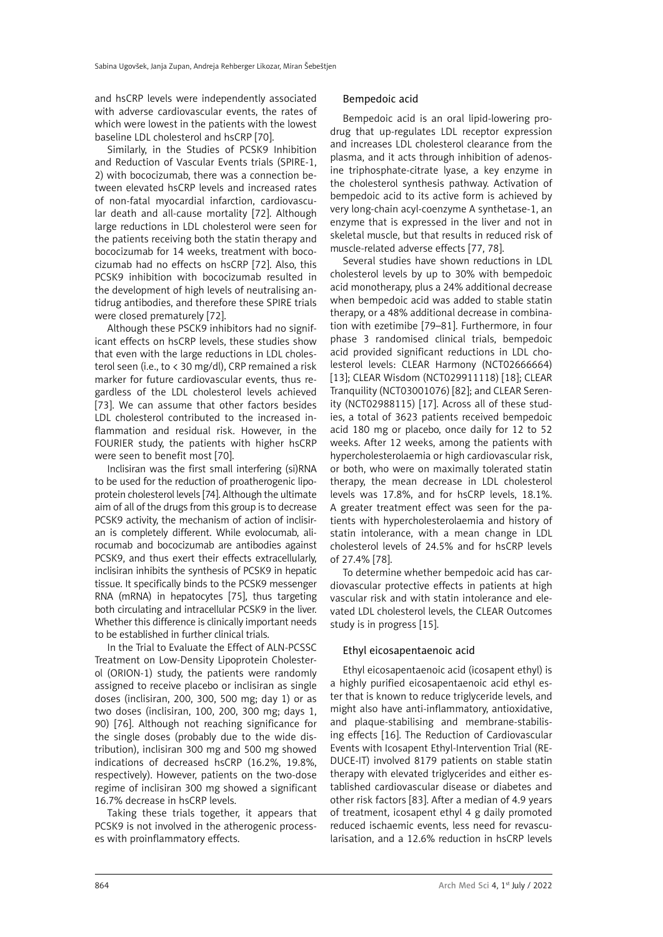and hsCRP levels were independently associated with adverse cardiovascular events, the rates of which were lowest in the patients with the lowest baseline LDL cholesterol and hsCRP [70].

Similarly, in the Studies of PCSK9 Inhibition and Reduction of Vascular Events trials (SPIRE-1, 2) with bococizumab, there was a connection between elevated hsCRP levels and increased rates of non-fatal myocardial infarction, cardiovascular death and all-cause mortality [72]. Although large reductions in LDL cholesterol were seen for the patients receiving both the statin therapy and bococizumab for 14 weeks, treatment with bococizumab had no effects on hsCRP [72]. Also, this PCSK9 inhibition with bococizumab resulted in the development of high levels of neutralising antidrug antibodies, and therefore these SPIRE trials were closed prematurely [72].

Although these PSCK9 inhibitors had no significant effects on hsCRP levels, these studies show that even with the large reductions in LDL cholesterol seen (i.e., to < 30 mg/dl), CRP remained a risk marker for future cardiovascular events, thus regardless of the LDL cholesterol levels achieved [73]. We can assume that other factors besides LDL cholesterol contributed to the increased inflammation and residual risk. However, in the FOURIER study, the patients with higher hsCRP were seen to benefit most [70].

Inclisiran was the first small interfering (si)RNA to be used for the reduction of proatherogenic lipoprotein cholesterol levels [74]. Although the ultimate aim of all of the drugs from this group is to decrease PCSK9 activity, the mechanism of action of inclisiran is completely different. While evolocumab, alirocumab and bococizumab are antibodies against PCSK9, and thus exert their effects extracellularly, inclisiran inhibits the synthesis of PCSK9 in hepatic tissue. It specifically binds to the PCSK9 messenger RNA (mRNA) in hepatocytes [75], thus targeting both circulating and intracellular PCSK9 in the liver. Whether this difference is clinically important needs to be established in further clinical trials.

In the Trial to Evaluate the Effect of ALN-PCSSC Treatment on Low-Density Lipoprotein Cholesterol (ORION-1) study, the patients were randomly assigned to receive placebo or inclisiran as single doses (inclisiran, 200, 300, 500 mg; day 1) or as two doses (inclisiran, 100, 200, 300 mg; days 1, 90) [76]. Although not reaching significance for the single doses (probably due to the wide distribution), inclisiran 300 mg and 500 mg showed indications of decreased hsCRP (16.2%, 19.8%, respectively). However, patients on the two-dose regime of inclisiran 300 mg showed a significant 16.7% decrease in hsCRP levels.

Taking these trials together, it appears that PCSK9 is not involved in the atherogenic processes with proinflammatory effects.

# Bempedoic acid

Bempedoic acid is an oral lipid-lowering prodrug that up-regulates LDL receptor expression and increases LDL cholesterol clearance from the plasma, and it acts through inhibition of adenosine triphosphate-citrate lyase, a key enzyme in the cholesterol synthesis pathway. Activation of bempedoic acid to its active form is achieved by very long-chain acyl-coenzyme A synthetase-1, an enzyme that is expressed in the liver and not in skeletal muscle, but that results in reduced risk of muscle-related adverse effects [77, 78].

Several studies have shown reductions in LDL cholesterol levels by up to 30% with bempedoic acid monotherapy, plus a 24% additional decrease when bempedoic acid was added to stable statin therapy, or a 48% additional decrease in combination with ezetimibe [79–81]. Furthermore, in four phase 3 randomised clinical trials, bempedoic acid provided significant reductions in LDL cholesterol levels: CLEAR Harmony (NCT02666664) [13]: CLEAR Wisdom (NCT029911118) [18]: CLEAR Tranquility (NCT03001076) [82]; and CLEAR Serenity (NCT02988115) [17]. Across all of these studies, a total of 3623 patients received bempedoic acid 180 mg or placebo, once daily for 12 to 52 weeks. After 12 weeks, among the patients with hypercholesterolaemia or high cardiovascular risk, or both, who were on maximally tolerated statin therapy, the mean decrease in LDL cholesterol levels was 17.8%, and for hsCRP levels, 18.1%. A greater treatment effect was seen for the patients with hypercholesterolaemia and history of statin intolerance, with a mean change in LDL cholesterol levels of 24.5% and for hsCRP levels of 27.4% [78].

To determine whether bempedoic acid has cardiovascular protective effects in patients at high vascular risk and with statin intolerance and elevated LDL cholesterol levels, the CLEAR Outcomes study is in progress [15].

# Ethyl eicosapentaenoic acid

Ethyl eicosapentaenoic acid (icosapent ethyl) is a highly purified eicosapentaenoic acid ethyl ester that is known to reduce triglyceride levels, and might also have anti-inflammatory, antioxidative, and plaque-stabilising and membrane-stabilising effects [16]. The Reduction of Cardiovascular Events with Icosapent Ethyl-Intervention Trial (RE-DUCE-IT) involved 8179 patients on stable statin therapy with elevated triglycerides and either established cardiovascular disease or diabetes and other risk factors [83]. After a median of 4.9 years of treatment, icosapent ethyl 4 g daily promoted reduced ischaemic events, less need for revascularisation, and a 12.6% reduction in hsCRP levels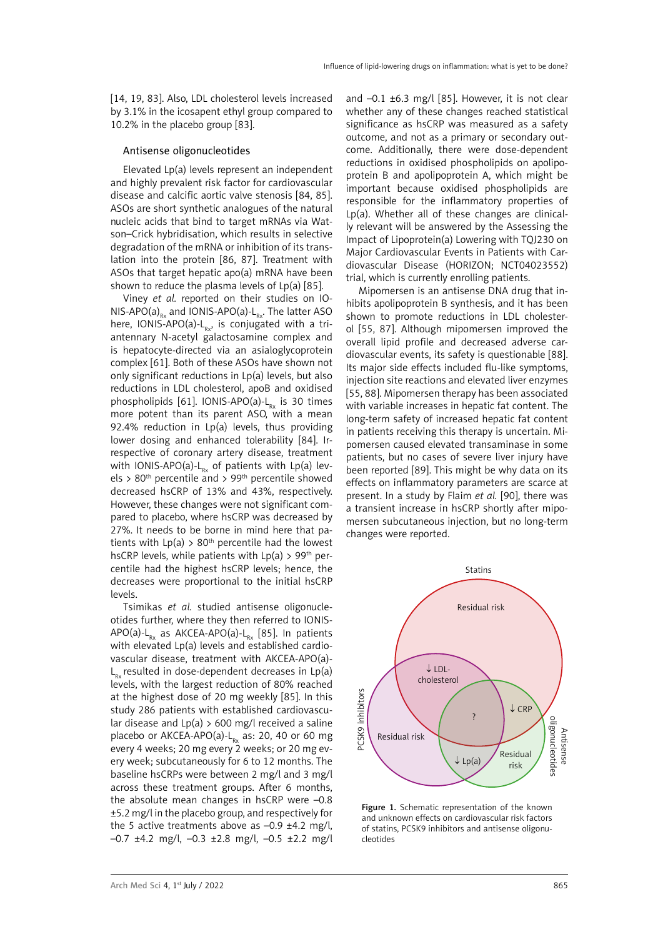[14, 19, 83]. Also, LDL cholesterol levels increased by 3.1% in the icosapent ethyl group compared to 10.2% in the placebo group [83].

#### Antisense oligonucleotides

Elevated Lp(a) levels represent an independent and highly prevalent risk factor for cardiovascular disease and calcific aortic valve stenosis [84, 85]. ASOs are short synthetic analogues of the natural nucleic acids that bind to target mRNAs via Watson–Crick hybridisation, which results in selective degradation of the mRNA or inhibition of its translation into the protein [86, 87]. Treatment with ASOs that target hepatic apo(a) mRNA have been shown to reduce the plasma levels of  $Lp(a)$  [85].

Viney *et al.* reported on their studies on IO-NIS-APO(a)<sub>Rx</sub> and IONIS-APO(a)-L<sub>Ry</sub>. The latter ASO here, IONIS-APO(a)- $L_{Rx}$ , is conjugated with a triantennary N-acetyl galactosamine complex and is hepatocyte-directed via an asialoglycoprotein complex [61]. Both of these ASOs have shown not only significant reductions in Lp(a) levels, but also reductions in LDL cholesterol, apoB and oxidised phospholipids [61]. IONIS-APO(a)- $L_{Rx}$  is 30 times more potent than its parent ASO, with a mean 92.4% reduction in Lp(a) levels, thus providing lower dosing and enhanced tolerability [84]. Irrespective of coronary artery disease, treatment with IONIS-APO(a)- $L_{Rx}$  of patients with Lp(a) levels > 80<sup>th</sup> percentile and > 99<sup>th</sup> percentile showed decreased hsCRP of 13% and 43%, respectively. However, these changes were not significant compared to placebo, where hsCRP was decreased by 27%. It needs to be borne in mind here that patients with  $Lp(a) > 80<sup>th</sup>$  percentile had the lowest hsCRP levels, while patients with  $Lp(a) > 99$ <sup>th</sup> percentile had the highest hsCRP levels; hence, the decreases were proportional to the initial hsCRP levels.

Tsimikas *et al.* studied antisense oligonucleotides further, where they then referred to IONIS-APO(a)- $L_{Rx}$  as AKCEA-APO(a)- $L_{Rx}$  [85]. In patients with elevated Lp(a) levels and established cardiovascular disease, treatment with AKCEA-APO(a)-  $L<sub>n</sub>$  resulted in dose-dependent decreases in Lp(a) levels, with the largest reduction of 80% reached at the highest dose of 20 mg weekly [85]. In this study 286 patients with established cardiovascular disease and  $Lp(a) > 600$  mg/l received a saline placebo or AKCEA-APO(a)- $L_{p}$  as: 20, 40 or 60 mg every 4 weeks; 20 mg every 2 weeks; or 20 mg every week; subcutaneously for 6 to 12 months. The baseline hsCRPs were between 2 mg/l and 3 mg/l across these treatment groups. After 6 months, the absolute mean changes in hsCRP were –0.8 ±5.2 mg/l in the placebo group, and respectively for the 5 active treatments above as  $-0.9$   $\pm$ 4.2 mg/l, –0.7 ±4.2 mg/l, –0.3 ±2.8 mg/l, –0.5 ±2.2 mg/l

and  $-0.1 \pm 6.3$  mg/l [85]. However, it is not clear whether any of these changes reached statistical significance as hsCRP was measured as a safety outcome, and not as a primary or secondary outcome. Additionally, there were dose-dependent reductions in oxidised phospholipids on apolipoprotein B and apolipoprotein A, which might be important because oxidised phospholipids are responsible for the inflammatory properties of Lp(a). Whether all of these changes are clinically relevant will be answered by the Assessing the Impact of Lipoprotein(a) Lowering with TQJ230 on Major Cardiovascular Events in Patients with Cardiovascular Disease (HORIZON; NCT04023552) trial, which is currently enrolling patients.

Mipomersen is an antisense DNA drug that inhibits apolipoprotein B synthesis, and it has been shown to promote reductions in LDL cholesterol [55, 87]. Although mipomersen improved the overall lipid profile and decreased adverse cardiovascular events, its safety is questionable [88]. Its major side effects included flu-like symptoms, injection site reactions and elevated liver enzymes [55, 88]. Mipomersen therapy has been associated with variable increases in hepatic fat content. The long-term safety of increased hepatic fat content in patients receiving this therapy is uncertain. Mipomersen caused elevated transaminase in some patients, but no cases of severe liver injury have been reported [89]. This might be why data on its effects on inflammatory parameters are scarce at present. In a study by Flaim *et al.* [90], there was a transient increase in hsCRP shortly after mipomersen subcutaneous injection, but no long-term changes were reported.



Figure 1. Schematic representation of the known and unknown effects on cardiovascular risk factors of statins, PCSK9 inhibitors and antisense oligonucleotides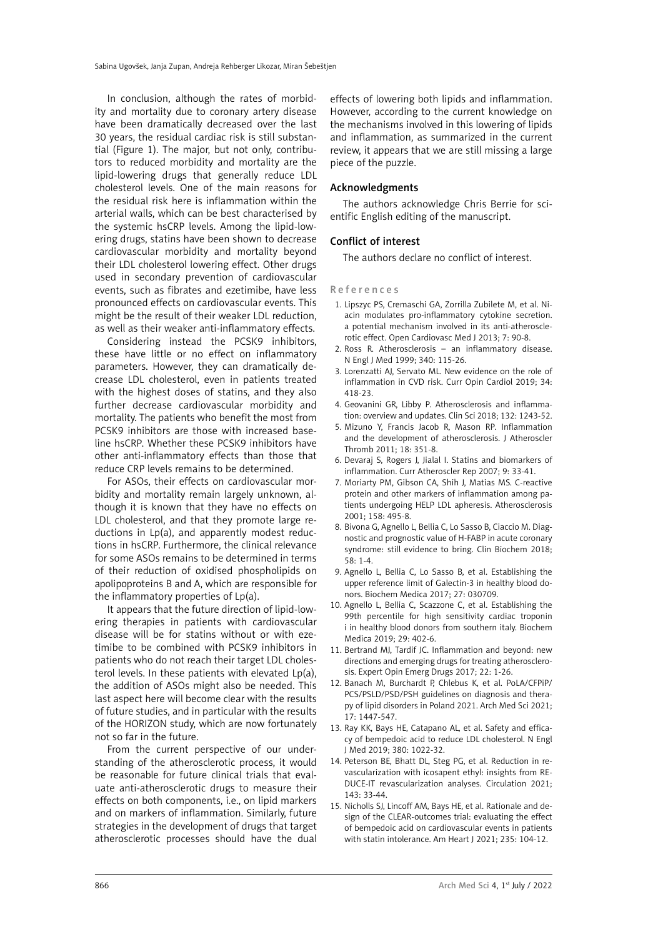In conclusion, although the rates of morbidity and mortality due to coronary artery disease have been dramatically decreased over the last 30 years, the residual cardiac risk is still substantial (Figure 1). The major, but not only, contributors to reduced morbidity and mortality are the lipid-lowering drugs that generally reduce LDL cholesterol levels. One of the main reasons for the residual risk here is inflammation within the arterial walls, which can be best characterised by the systemic hsCRP levels. Among the lipid-lowering drugs, statins have been shown to decrease cardiovascular morbidity and mortality beyond their LDL cholesterol lowering effect. Other drugs used in secondary prevention of cardiovascular events, such as fibrates and ezetimibe, have less pronounced effects on cardiovascular events. This might be the result of their weaker LDL reduction, as well as their weaker anti-inflammatory effects.

Considering instead the PCSK9 inhibitors, these have little or no effect on inflammatory parameters. However, they can dramatically decrease LDL cholesterol, even in patients treated with the highest doses of statins, and they also further decrease cardiovascular morbidity and mortality. The patients who benefit the most from PCSK9 inhibitors are those with increased baseline hsCRP. Whether these PCSK9 inhibitors have other anti-inflammatory effects than those that reduce CRP levels remains to be determined.

For ASOs, their effects on cardiovascular morbidity and mortality remain largely unknown, although it is known that they have no effects on LDL cholesterol, and that they promote large reductions in Lp(a), and apparently modest reductions in hsCRP. Furthermore, the clinical relevance for some ASOs remains to be determined in terms of their reduction of oxidised phospholipids on apolipoproteins B and A, which are responsible for the inflammatory properties of Lp(a).

It appears that the future direction of lipid-lowering therapies in patients with cardiovascular disease will be for statins without or with ezetimibe to be combined with PCSK9 inhibitors in patients who do not reach their target LDL cholesterol levels. In these patients with elevated Lp(a), the addition of ASOs might also be needed. This last aspect here will become clear with the results of future studies, and in particular with the results of the HORIZON study, which are now fortunately not so far in the future.

From the current perspective of our understanding of the atherosclerotic process, it would be reasonable for future clinical trials that evaluate anti-atherosclerotic drugs to measure their effects on both components, i.e., on lipid markers and on markers of inflammation. Similarly, future strategies in the development of drugs that target atherosclerotic processes should have the dual

effects of lowering both lipids and inflammation. However, according to the current knowledge on the mechanisms involved in this lowering of lipids and inflammation, as summarized in the current review, it appears that we are still missing a large piece of the puzzle.

#### Acknowledgments

The authors acknowledge Chris Berrie for scientific English editing of the manuscript.

## Conflict of interest

The authors declare no conflict of interest.

References

- 1. Lipszyc PS, Cremaschi GA, Zorrilla Zubilete M, et al. Niacin modulates pro-inflammatory cytokine secretion. a potential mechanism involved in its anti-atherosclerotic effect. Open Cardiovasc Med J 2013; 7: 90-8.
- 2. Ross R. Atherosclerosis an inflammatory disease. N Engl J Med 1999; 340: 115-26.
- 3. Lorenzatti AJ, Servato ML. New evidence on the role of inflammation in CVD risk. Curr Opin Cardiol 2019; 34: 418-23.
- 4. Geovanini GR, Libby P. Atherosclerosis and inflammation: overview and updates. Clin Sci 2018; 132: 1243-52.
- 5. Mizuno Y, Francis Jacob R, Mason RP. Inflammation and the development of atherosclerosis. J Atheroscler Thromb 2011; 18: 351-8.
- 6. Devaraj S, Rogers J, Jialal I. Statins and biomarkers of inflammation. Curr Atheroscler Rep 2007; 9: 33-41.
- 7. Moriarty PM, Gibson CA, Shih J, Matias MS. C-reactive protein and other markers of inflammation among patients undergoing HELP LDL apheresis. Atherosclerosis 2001; 158: 495-8.
- 8. Bivona G, Agnello L, Bellia C, Lo Sasso B, Ciaccio M. Diagnostic and prognostic value of H-FABP in acute coronary syndrome: still evidence to bring. Clin Biochem 2018; 58: 1-4.
- 9. Agnello L, Bellia C, Lo Sasso B, et al. Establishing the upper reference limit of Galectin-3 in healthy blood donors. Biochem Medica 2017; 27: 030709.
- 10. Agnello L, Bellia C, Scazzone C, et al. Establishing the 99th percentile for high sensitivity cardiac troponin i in healthy blood donors from southern italy. Biochem Medica 2019; 29: 402-6.
- 11. Bertrand MJ, Tardif JC. Inflammation and beyond: new directions and emerging drugs for treating atherosclerosis. Expert Opin Emerg Drugs 2017; 22: 1-26.
- 12. Banach M, Burchardt P, Chlebus K, et al. PoLA/CFPiP/ PCS/PSLD/PSD/PSH guidelines on diagnosis and therapy of lipid disorders in Poland 2021. Arch Med Sci 2021; 17: 1447-547.
- 13. Ray KK, Bays HE, Catapano AL, et al. Safety and efficacy of bempedoic acid to reduce LDL cholesterol. N Engl J Med 2019; 380: 1022-32.
- 14. Peterson BE, Bhatt DL, Steg PG, et al. Reduction in revascularization with icosapent ethyl: insights from RE-DUCE-IT revascularization analyses. Circulation 2021; 143: 33-44.
- 15. Nicholls SJ, Lincoff AM, Bays HE, et al. Rationale and design of the CLEAR-outcomes trial: evaluating the effect of bempedoic acid on cardiovascular events in patients with statin intolerance. Am Heart J 2021; 235: 104-12.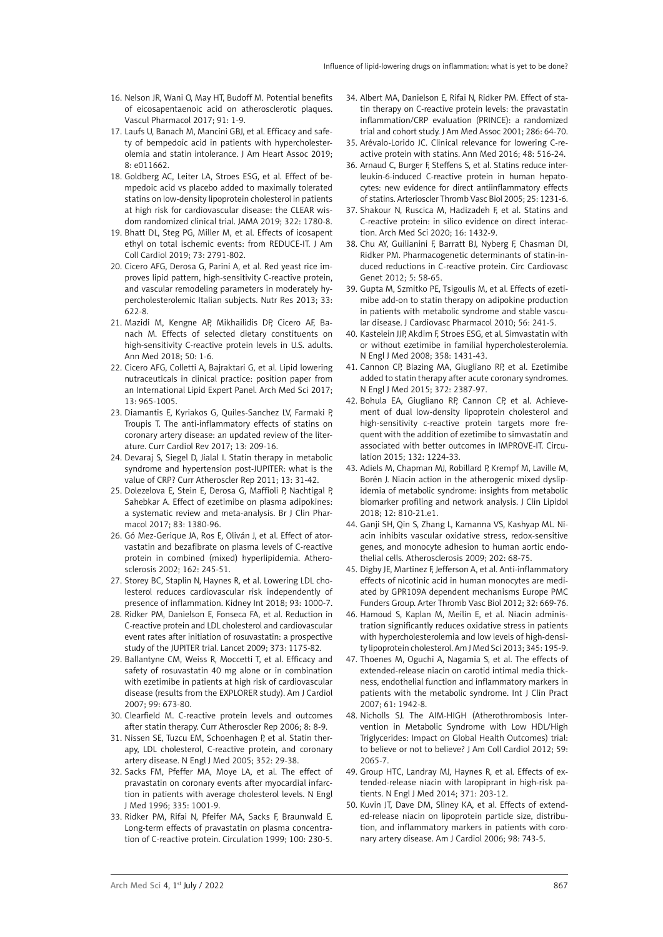- 16. Nelson JR, Wani O, May HT, Budoff M. Potential benefits of eicosapentaenoic acid on atherosclerotic plaques. Vascul Pharmacol 2017; 91: 1-9.
- 17. Laufs U, Banach M, Mancini GBJ, et al. Efficacy and safety of bempedoic acid in patients with hypercholesterolemia and statin intolerance. J Am Heart Assoc 2019; 8: e011662.
- 18. Goldberg AC, Leiter LA, Stroes ESG, et al. Effect of bempedoic acid vs placebo added to maximally tolerated statins on low-density lipoprotein cholesterol in patients at high risk for cardiovascular disease: the CLEAR wisdom randomized clinical trial. JAMA 2019; 322: 1780-8.
- 19. Bhatt DL, Steg PG, Miller M, et al. Effects of icosapent ethyl on total ischemic events: from REDUCE-IT. J Am Coll Cardiol 2019; 73: 2791-802.
- 20. Cicero AFG, Derosa G, Parini A, et al. Red yeast rice improves lipid pattern, high-sensitivity C-reactive protein, and vascular remodeling parameters in moderately hypercholesterolemic Italian subjects. Nutr Res 2013; 33: 622-8.
- 21. Mazidi M, Kengne AP, Mikhailidis DP, Cicero AF, Banach M. Effects of selected dietary constituents on high-sensitivity C-reactive protein levels in U.S. adults. Ann Med 2018; 50: 1-6.
- 22. Cicero AFG, Colletti A, Bajraktari G, et al. Lipid lowering nutraceuticals in clinical practice: position paper from an International Lipid Expert Panel. Arch Med Sci 2017; 13: 965-1005.
- 23. Diamantis E, Kyriakos G, Quiles-Sanchez LV, Farmaki P, Troupis T. The anti-inflammatory effects of statins on coronary artery disease: an updated review of the literature. Curr Cardiol Rev 2017; 13: 209-16.
- 24. Devaraj S, Siegel D, Jialal I. Statin therapy in metabolic syndrome and hypertension post-JUPITER: what is the value of CRP? Curr Atheroscler Rep 2011; 13: 31-42.
- 25. Dolezelova E, Stein E, Derosa G, Maffioli P, Nachtigal P, Sahebkar A. Effect of ezetimibe on plasma adipokines: a systematic review and meta-analysis. Br J Clin Pharmacol 2017; 83: 1380-96.
- 26. Gó Mez-Gerique JA, Ros E, Oliván J, et al. Effect of atorvastatin and bezafibrate on plasma levels of C-reactive protein in combined (mixed) hyperlipidemia. Atherosclerosis 2002; 162: 245-51.
- 27. Storey BC, Staplin N, Haynes R, et al. Lowering LDL cholesterol reduces cardiovascular risk independently of presence of inflammation. Kidney Int 2018; 93: 1000-7.
- 28. Ridker PM, Danielson E, Fonseca FA, et al. Reduction in C-reactive protein and LDL cholesterol and cardiovascular event rates after initiation of rosuvastatin: a prospective study of the JUPITER trial. Lancet 2009; 373: 1175-82.
- 29. Ballantyne CM, Weiss R, Moccetti T, et al. Efficacy and safety of rosuvastatin 40 mg alone or in combination with ezetimibe in patients at high risk of cardiovascular disease (results from the EXPLORER study). Am J Cardiol 2007; 99: 673-80.
- 30. Clearfield M. C-reactive protein levels and outcomes after statin therapy. Curr Atheroscler Rep 2006; 8: 8-9.
- 31. Nissen SE, Tuzcu EM, Schoenhagen P, et al. Statin therapy, LDL cholesterol, C-reactive protein, and coronary artery disease. N Engl J Med 2005; 352: 29-38.
- 32. Sacks FM, Pfeffer MA, Moye LA, et al. The effect of pravastatin on coronary events after myocardial infarction in patients with average cholesterol levels. N Engl J Med 1996; 335: 1001-9.
- 33. Ridker PM, Rifai N, Pfeifer MA, Sacks F, Braunwald E. Long-term effects of pravastatin on plasma concentration of C-reactive protein. Circulation 1999; 100: 230-5.
- 34. Albert MA, Danielson E, Rifai N, Ridker PM. Effect of statin therapy on C-reactive protein levels: the pravastatin inflammation/CRP evaluation (PRINCE): a randomized trial and cohort study. J Am Med Assoc 2001; 286: 64-70.
- 35. Arévalo-Lorido JC. Clinical relevance for lowering C-reactive protein with statins. Ann Med 2016; 48: 516-24.
- 36. Arnaud C, Burger F, Steffens S, et al. Statins reduce interleukin-6-induced C-reactive protein in human hepatocytes: new evidence for direct antiinflammatory effects of statins. Arterioscler Thromb Vasc Biol 2005; 25: 1231-6.
- 37. Shakour N, Ruscica M, Hadizadeh F, et al. Statins and C-reactive protein: in silico evidence on direct interaction. Arch Med Sci 2020; 16: 1432-9.
- 38. Chu AY, Guilianini F, Barratt BJ, Nyberg F, Chasman DI, Ridker PM. Pharmacogenetic determinants of statin-induced reductions in C-reactive protein. Circ Cardiovasc Genet 2012; 5: 58-65.
- 39. Gupta M, Szmitko PE, Tsigoulis M, et al. Effects of ezetimibe add-on to statin therapy on adipokine production in patients with metabolic syndrome and stable vascular disease. J Cardiovasc Pharmacol 2010; 56: 241-5.
- 40. Kastelein JJP, Akdim F, Stroes ESG, et al. Simvastatin with or without ezetimibe in familial hypercholesterolemia. N Engl J Med 2008; 358: 1431-43.
- 41. Cannon CP, Blazing MA, Giugliano RP, et al. Ezetimibe added to statin therapy after acute coronary syndromes. N Engl J Med 2015; 372: 2387-97.
- 42. Bohula EA, Giugliano RP, Cannon CP, et al. Achievement of dual low-density lipoprotein cholesterol and high-sensitivity c-reactive protein targets more frequent with the addition of ezetimibe to simvastatin and associated with better outcomes in IMPROVE-IT. Circulation 2015; 132: 1224-33.
- 43. Adiels M, Chapman MJ, Robillard P, Krempf M, Laville M, Borén J. Niacin action in the atherogenic mixed dyslipidemia of metabolic syndrome: insights from metabolic biomarker profiling and network analysis. J Clin Lipidol 2018; 12: 810-21.e1.
- 44. Ganji SH, Qin S, Zhang L, Kamanna VS, Kashyap ML. Niacin inhibits vascular oxidative stress, redox-sensitive genes, and monocyte adhesion to human aortic endothelial cells. Atherosclerosis 2009; 202: 68-75.
- 45. Digby JE, Martinez F, Jefferson A, et al. Anti-inflammatory effects of nicotinic acid in human monocytes are mediated by GPR109A dependent mechanisms Europe PMC Funders Group. Arter Thromb Vasc Biol 2012; 32: 669-76.
- 46. Hamoud S, Kaplan M, Meilin E, et al. Niacin administration significantly reduces oxidative stress in patients with hypercholesterolemia and low levels of high-density lipoprotein cholesterol. Am J Med Sci 2013; 345: 195-9.
- 47. Thoenes M, Oguchi A, Nagamia S, et al. The effects of extended-release niacin on carotid intimal media thickness, endothelial function and inflammatory markers in patients with the metabolic syndrome. Int J Clin Pract 2007; 61: 1942-8.
- 48. Nicholls SJ. The AIM-HIGH (Atherothrombosis Intervention in Metabolic Syndrome with Low HDL/High Triglycerides: Impact on Global Health Outcomes) trial: to believe or not to believe? J Am Coll Cardiol 2012; 59: 2065-7.
- 49. Group HTC, Landray MJ, Haynes R, et al. Effects of extended-release niacin with laropiprant in high-risk patients. N Engl J Med 2014; 371: 203-12.
- 50. Kuvin JT, Dave DM, Sliney KA, et al. Effects of extended-release niacin on lipoprotein particle size, distribution, and inflammatory markers in patients with coronary artery disease. Am J Cardiol 2006; 98: 743-5.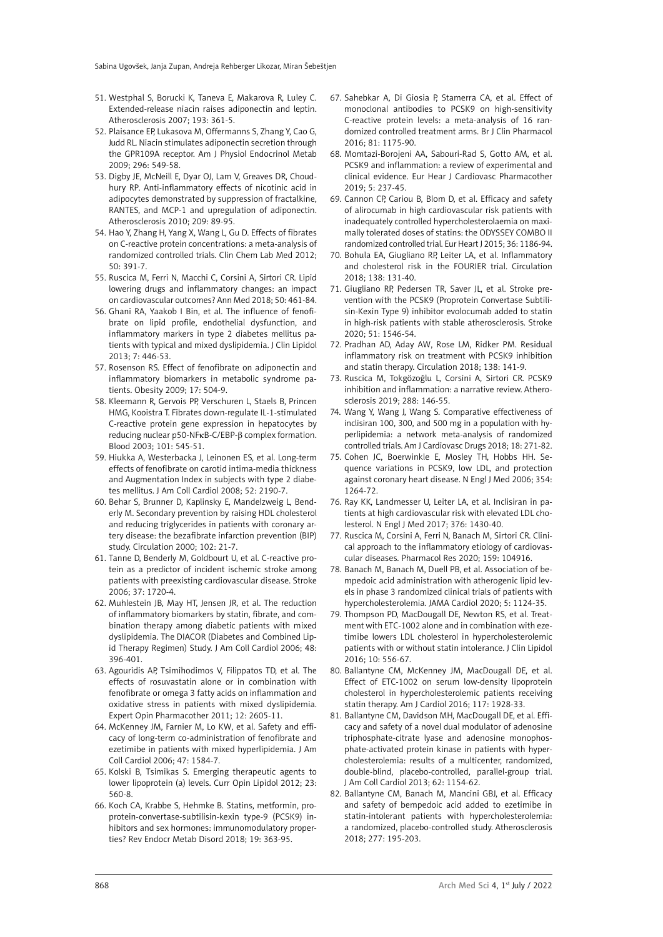- 51. Westphal S, Borucki K, Taneva E, Makarova R, Luley C. Extended-release niacin raises adiponectin and leptin. Atherosclerosis 2007; 193: 361-5.
- 52. Plaisance EP, Lukasova M, Offermanns S, Zhang Y, Cao G, Judd RL. Niacin stimulates adiponectin secretion through the GPR109A receptor. Am J Physiol Endocrinol Metab 2009; 296: 549-58.
- 53. Digby JE, McNeill E, Dyar OJ, Lam V, Greaves DR, Choudhury RP. Anti-inflammatory effects of nicotinic acid in adipocytes demonstrated by suppression of fractalkine, RANTES, and MCP-1 and upregulation of adiponectin. Atherosclerosis 2010; 209: 89-95.
- 54. Hao Y, Zhang H, Yang X, Wang L, Gu D. Effects of fibrates on C-reactive protein concentrations: a meta-analysis of randomized controlled trials. Clin Chem Lab Med 2012; 50: 391-7.
- 55. Ruscica M, Ferri N, Macchi C, Corsini A, Sirtori CR. Lipid lowering drugs and inflammatory changes: an impact on cardiovascular outcomes? Ann Med 2018; 50: 461-84.
- 56. Ghani RA, Yaakob I Bin, et al. The influence of fenofibrate on lipid profile, endothelial dysfunction, and inflammatory markers in type 2 diabetes mellitus patients with typical and mixed dyslipidemia. J Clin Lipidol 2013; 7: 446-53.
- 57. Rosenson RS. Effect of fenofibrate on adiponectin and inflammatory biomarkers in metabolic syndrome patients. Obesity 2009; 17: 504-9.
- 58. Kleemann R, Gervois PP, Verschuren L, Staels B, Princen HMG, Kooistra T. Fibrates down-regulate IL-1-stimulated C-reactive protein gene expression in hepatocytes by reducing nuclear p50-NFκB-C/EBP-β complex formation. Blood 2003; 101: 545-51.
- 59. Hiukka A, Westerbacka J, Leinonen ES, et al. Long-term effects of fenofibrate on carotid intima-media thickness and Augmentation Index in subjects with type 2 diabetes mellitus. J Am Coll Cardiol 2008; 52: 2190-7.
- 60. Behar S, Brunner D, Kaplinsky E, Mandelzweig L, Benderly M. Secondary prevention by raising HDL cholesterol and reducing triglycerides in patients with coronary artery disease: the bezafibrate infarction prevention (BIP) study. Circulation 2000; 102: 21-7.
- 61. Tanne D, Benderly M, Goldbourt U, et al. C-reactive protein as a predictor of incident ischemic stroke among patients with preexisting cardiovascular disease. Stroke 2006; 37: 1720-4.
- 62. Muhlestein JB, May HT, Jensen JR, et al. The reduction of inflammatory biomarkers by statin, fibrate, and combination therapy among diabetic patients with mixed dyslipidemia. The DIACOR (Diabetes and Combined Lipid Therapy Regimen) Study. J Am Coll Cardiol 2006; 48: 396-401.
- 63. Agouridis AP, Tsimihodimos V, Filippatos TD, et al. The effects of rosuvastatin alone or in combination with fenofibrate or omega 3 fatty acids on inflammation and oxidative stress in patients with mixed dyslipidemia. Expert Opin Pharmacother 2011; 12: 2605-11.
- 64. McKenney JM, Farnier M, Lo KW, et al. Safety and efficacy of long-term co-administration of fenofibrate and ezetimibe in patients with mixed hyperlipidemia. J Am Coll Cardiol 2006; 47: 1584-7.
- 65. Kolski B, Tsimikas S. Emerging therapeutic agents to lower lipoprotein (a) levels. Curr Opin Lipidol 2012; 23: 560-8.
- 66. Koch CA, Krabbe S, Hehmke B. Statins, metformin, proprotein-convertase-subtilisin-kexin type-9 (PCSK9) inhibitors and sex hormones: immunomodulatory properties? Rev Endocr Metab Disord 2018; 19: 363-95.
- 67. Sahebkar A, Di Giosia P, Stamerra CA, et al. Effect of monoclonal antibodies to PCSK9 on high-sensitivity C-reactive protein levels: a meta-analysis of 16 randomized controlled treatment arms. Br J Clin Pharmacol 2016; 81: 1175-90.
- 68. Momtazi-Borojeni AA, Sabouri-Rad S, Gotto AM, et al. PCSK9 and inflammation: a review of experimental and clinical evidence. Eur Hear J Cardiovasc Pharmacother 2019; 5: 237-45.
- 69. Cannon CP, Cariou B, Blom D, et al. Efficacy and safety of alirocumab in high cardiovascular risk patients with inadequately controlled hypercholesterolaemia on maximally tolerated doses of statins: the ODYSSEY COMBO II randomized controlled trial. Eur Heart J 2015; 36: 1186-94.
- 70. Bohula EA, Giugliano RP, Leiter LA, et al. Inflammatory and cholesterol risk in the FOURIER trial. Circulation 2018; 138: 131-40.
- 71. Giugliano RP, Pedersen TR, Saver JL, et al. Stroke prevention with the PCSK9 (Proprotein Convertase Subtilisin-Kexin Type 9) inhibitor evolocumab added to statin in high-risk patients with stable atherosclerosis. Stroke 2020; 51: 1546-54.
- 72. Pradhan AD, Aday AW, Rose LM, Ridker PM. Residual inflammatory risk on treatment with PCSK9 inhibition and statin therapy. Circulation 2018; 138: 141-9.
- 73. Ruscica M, Tokgözoğlu L, Corsini A, Sirtori CR. PCSK9 inhibition and inflammation: a narrative review. Atherosclerosis 2019; 288: 146-55.
- 74. Wang Y, Wang J, Wang S. Comparative effectiveness of inclisiran 100, 300, and 500 mg in a population with hyperlipidemia: a network meta-analysis of randomized controlled trials. Am J Cardiovasc Drugs 2018; 18: 271-82.
- 75. Cohen JC, Boerwinkle E, Mosley TH, Hobbs HH. Sequence variations in PCSK9, low LDL, and protection against coronary heart disease. N Engl J Med 2006; 354: 1264-72.
- 76. Ray KK, Landmesser U, Leiter LA, et al. Inclisiran in patients at high cardiovascular risk with elevated LDL cholesterol. N Engl J Med 2017; 376: 1430-40.
- 77. Ruscica M, Corsini A, Ferri N, Banach M, Sirtori CR. Clinical approach to the inflammatory etiology of cardiovascular diseases. Pharmacol Res 2020; 159: 104916.
- 78. Banach M, Banach M, Duell PB, et al. Association of bempedoic acid administration with atherogenic lipid levels in phase 3 randomized clinical trials of patients with hypercholesterolemia. JAMA Cardiol 2020; 5: 1124-35.
- 79. Thompson PD, MacDougall DE, Newton RS, et al. Treatment with ETC-1002 alone and in combination with ezetimibe lowers LDL cholesterol in hypercholesterolemic patients with or without statin intolerance. J Clin Lipidol 2016; 10: 556-67.
- 80. Ballantyne CM, McKenney JM, MacDougall DE, et al. Effect of ETC-1002 on serum low-density lipoprotein cholesterol in hypercholesterolemic patients receiving statin therapy. Am J Cardiol 2016; 117: 1928-33.
- 81. Ballantyne CM, Davidson MH, MacDougall DE, et al. Efficacy and safety of a novel dual modulator of adenosine triphosphate-citrate lyase and adenosine monophosphate-activated protein kinase in patients with hypercholesterolemia: results of a multicenter, randomized, double-blind, placebo-controlled, parallel-group trial. J Am Coll Cardiol 2013; 62: 1154-62.
- 82. Ballantyne CM, Banach M, Mancini GBJ, et al. Efficacy and safety of bempedoic acid added to ezetimibe in statin-intolerant patients with hypercholesterolemia: a randomized, placebo-controlled study. Atherosclerosis 2018; 277: 195-203.